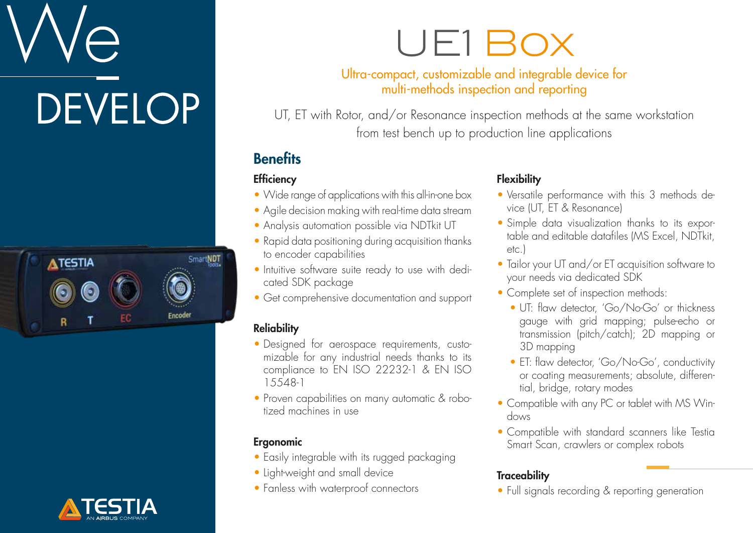# **DEVELOP**





### UE1 Box

#### Ultra-compact, customizable and integrable device for multi-methods inspection and reporting

UT, ET with Rotor, and/or Resonance inspection methods at the same workstation from test bench up to production line applications

#### **Benefits**

#### **Efficiency**

- Wide range of applications with this all-in-one box
- Agile decision making with real-time data stream
- Analysis automation possible via NDTkit UT
- Rapid data positioning during acquisition thanks to encoder capabilities
- Intuitive software suite ready to use with dedicated SDK package
- Get comprehensive documentation and support

#### **Reliability**

- Designed for aerospace requirements, customizable for any industrial needs thanks to its compliance to EN ISO 22232-1 & EN ISO 15548-1
- Proven capabilities on many automatic & robotized machines in use

#### Ergonomic

- Easily integrable with its rugged packaging
- Light-weight and small device
- Fanless with waterproof connectors

#### **Flexibility**

- Versatile performance with this 3 methods device (UT, ET & Resonance)
- Simple data visualization thanks to its exportable and editable datafiles (MS Excel, NDTkit, etc.)
- Tailor your UT and/or ET acquisition software to your needs via dedicated SDK
- Complete set of inspection methods:
	- UT: flaw detector, 'Go/No-Go' or thickness gauge with grid mapping; pulse-echo or transmission (pitch/catch); 2D mapping or 3D mapping
	- ET: flaw detector, 'Go/No-Go', conductivity or coating measurements; absolute, differential, bridge, rotary modes
- Compatible with any PC or tablet with MS Windows
- Compatible with standard scanners like Testia Smart Scan, crawlers or complex robots

#### **Traceability**

• Full signals recording & reporting generation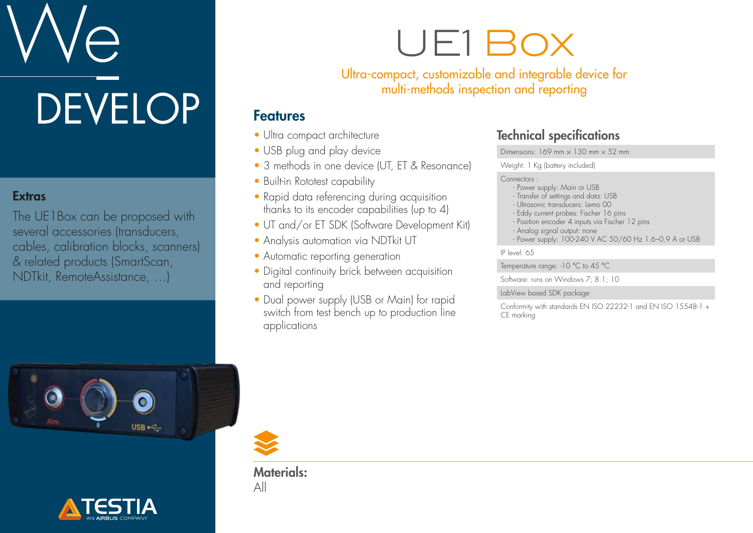# **DEVELOP**

#### **Extras**

The UE1Box can be proposed with several accessories (transducers, cables, calibration blocks, scanners) & related products (SmartScan, NDTkit, RemoteAssistance, …)

### UE1 Box

Ultra-compact, customizable and integrable device for multi-methods inspection and reporting

#### Features

- Ultra compact architecture
- USB plug and play device
- 3 methods in one device (UT, ET & Resonance)
- Built-in Rototest capability
- Rapid data referencing during acquisition thanks to its encoder capabilities (up to 4)
- UT and/or ET SDK (Software Development Kit)
- Analysis automation via NDTkit UT
- Automatic reporting generation
- Digital continuity brick between acquisition and reporting
- Dual power supply (USB or Main) for rapid switch from test bench up to production line applications

#### Technical specifications

Dimensions:  $169$  mm  $\times$   $130$  mm  $\times$  52 mm

Weight: 1 Kg (battery included)

#### Connectors :

- Power supply: Main or USB
- Transfer of settings and data: USB
- Ultrasonic transducers: Lemo 00
- Eddy current probes: Fischer 16 pins
- Position encoder 4 inputs via Fischer 12 pins
- Analog signal output: none - Power supply: 100-240 V AC 50/60 Hz 1.6–0.9 A or USB
	-

IP level: 65

Temperature range: -10 °C to 45 °C

Software: runs on Windows 7; 8.1; 10

#### LabView based SDK package

Conformity with standards EN ISO 22232-1 and EN ISO 15548-1 + CE marking







Materials: All